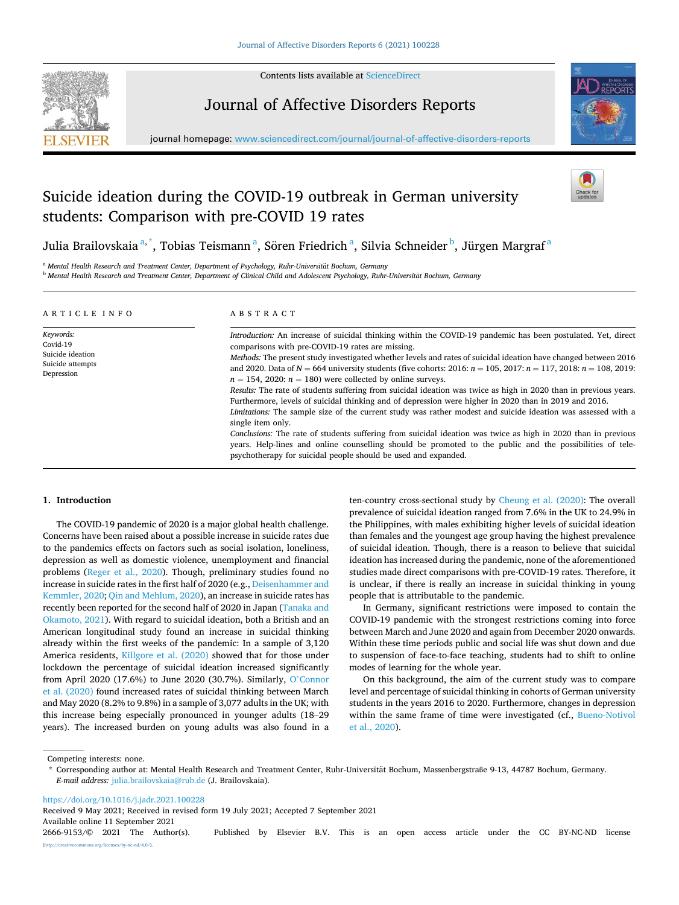

Contents lists available at [ScienceDirect](www.sciencedirect.com/science/journal/26669153)

## Journal of Affective Disorders Reports



journal homepage: [www.sciencedirect.com/journal/journal-of-affective-disorders-reports](https://www.sciencedirect.com/journal/journal-of-affective-disorders-reports) 

# Suicide ideation during the COVID-19 outbreak in German university students: Comparison with pre-COVID 19 rates



Julia Brailovskaia <sup>a, \*</sup>, Tobias Teismann <sup>a</sup>, Sören Friedrich <sup>a</sup>, Silvia Schneider <sup>b</sup>, Jürgen Margraf <sup>a</sup>

<sup>a</sup> Mental Health Research and Treatment Center, Department of Psychology, Ruhr-Universität Bochum, Germany

<sup>b</sup> Mental Health Research and Treatment Center, Department of Clinical Child and Adolescent Psychology, Ruhr-Universität Bochum, Germany

| ARTICLE INFO                                                                | ABSTRACT                                                                                                                                                                                                                                                                                                                                                                                                                                                                                                                                                                                                                                                                                                                                                                                                                                                                                                                                                                                                                                                                                                                                                     |  |  |  |  |
|-----------------------------------------------------------------------------|--------------------------------------------------------------------------------------------------------------------------------------------------------------------------------------------------------------------------------------------------------------------------------------------------------------------------------------------------------------------------------------------------------------------------------------------------------------------------------------------------------------------------------------------------------------------------------------------------------------------------------------------------------------------------------------------------------------------------------------------------------------------------------------------------------------------------------------------------------------------------------------------------------------------------------------------------------------------------------------------------------------------------------------------------------------------------------------------------------------------------------------------------------------|--|--|--|--|
| Keywords:<br>Covid-19<br>Suicide ideation<br>Suicide attempts<br>Depression | <i>Introduction:</i> An increase of suicidal thinking within the COVID-19 pandemic has been postulated. Yet, direct<br>comparisons with pre-COVID-19 rates are missing.<br>Methods: The present study investigated whether levels and rates of suicidal ideation have changed between 2016<br>and 2020. Data of $N = 664$ university students (five cohorts: 2016: $n = 105$ , 2017: $n = 117$ , 2018: $n = 108$ , 2019:<br>$n = 154$ , 2020: $n = 180$ ) were collected by online surveys.<br>Results: The rate of students suffering from suicidal ideation was twice as high in 2020 than in previous years.<br>Furthermore, levels of suicidal thinking and of depression were higher in 2020 than in 2019 and 2016.<br>Limitations: The sample size of the current study was rather modest and suicide ideation was assessed with a<br>single item only.<br>Conclusions: The rate of students suffering from suicidal ideation was twice as high in 2020 than in previous<br>years. Help-lines and online counselling should be promoted to the public and the possibilities of tele-<br>psychotherapy for suicidal people should be used and expanded. |  |  |  |  |

## **1. Introduction**

The COVID-19 pandemic of 2020 is a major global health challenge. Concerns have been raised about a possible increase in suicide rates due to the pandemics effects on factors such as social isolation, loneliness, depression as well as domestic violence, unemployment and financial problems ([Reger et al., 2020](#page-3-0)). Though, preliminary studies found no increase in suicide rates in the first half of 2020 (e.g., [Deisenhammer and](#page-3-0)  [Kemmler, 2020](#page-3-0); [Qin and Mehlum, 2020\)](#page-3-0), an increase in suicide rates has recently been reported for the second half of 2020 in Japan [\(Tanaka and](#page-3-0)  [Okamoto, 2021](#page-3-0)). With regard to suicidal ideation, both a British and an American longitudinal study found an increase in suicidal thinking already within the first weeks of the pandemic: In a sample of 3,120 America residents, [Killgore et al. \(2020\)](#page-3-0) showed that for those under lockdown the percentage of suicidal ideation increased significantly from April 2020 (17.6%) to June 2020 (30.7%). Similarly, O'[Connor](#page-3-0)  [et al. \(2020\)](#page-3-0) found increased rates of suicidal thinking between March and May 2020 (8.2% to 9.8%) in a sample of 3,077 adults in the UK; with this increase being especially pronounced in younger adults (18–29 years). The increased burden on young adults was also found in a

ten-country cross-sectional study by [Cheung et al. \(2020\)](#page-3-0): The overall prevalence of suicidal ideation ranged from 7.6% in the UK to 24.9% in the Philippines, with males exhibiting higher levels of suicidal ideation than females and the youngest age group having the highest prevalence of suicidal ideation. Though, there is a reason to believe that suicidal ideation has increased during the pandemic, none of the aforementioned studies made direct comparisons with pre-COVID-19 rates. Therefore, it is unclear, if there is really an increase in suicidal thinking in young people that is attributable to the pandemic.

In Germany, significant restrictions were imposed to contain the COVID-19 pandemic with the strongest restrictions coming into force between March and June 2020 and again from December 2020 onwards. Within these time periods public and social life was shut down and due to suspension of face-to-face teaching, students had to shift to online modes of learning for the whole year.

On this background, the aim of the current study was to compare level and percentage of suicidal thinking in cohorts of German university students in the years 2016 to 2020. Furthermore, changes in depression within the same frame of time were investigated (cf., [Bueno-Notivol](#page-3-0)  [et al., 2020\)](#page-3-0).

Competing interests: none.

<https://doi.org/10.1016/j.jadr.2021.100228>

Received 9 May 2021; Received in revised form 19 July 2021; Accepted 7 September 2021

Available online 11 September 2021

2666-9153/© 2021 The Author(s). Published by Elsevier B.V. This is an open access article under the CC BY-NC-ND license [\(http://creativecommons.org/licenses/by-nc-nd/4.0/\)](http://creativecommons.org/licenses/by-nc-nd/4.0/).

<sup>\*</sup> Corresponding author at: Mental Health Research and Treatment Center, Ruhr-Universität Bochum, Massenbergstraße 9-13, 44787 Bochum, Germany. *E-mail address:* [julia.brailovskaia@rub.de](mailto:julia.brailovskaia@rub.de) (J. Brailovskaia).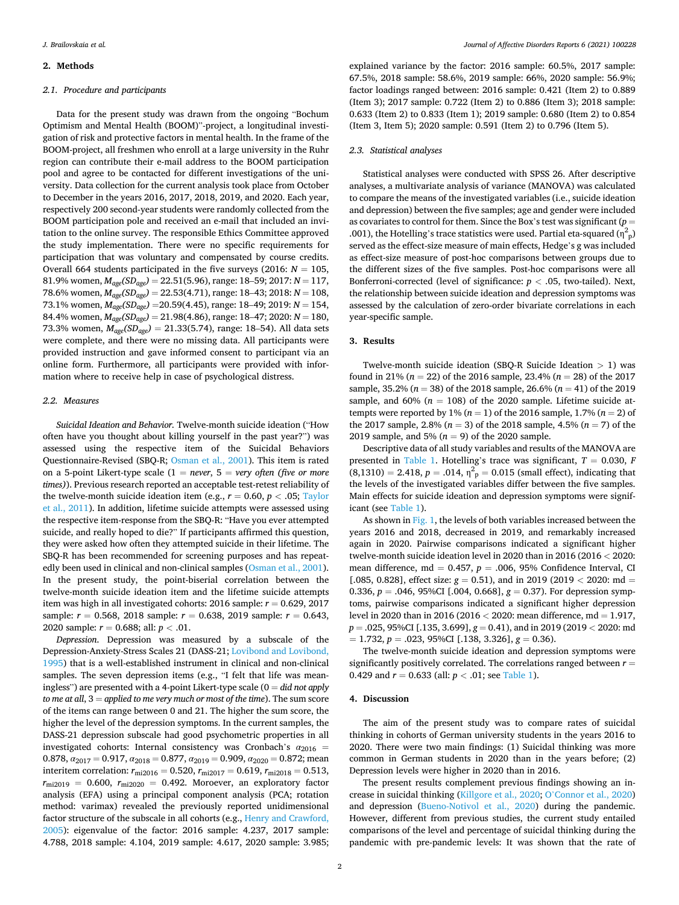## **2. Methods**

## *2.1. Procedure and participants*

Data for the present study was drawn from the ongoing "Bochum Optimism and Mental Health (BOOM)"-project, a longitudinal investigation of risk and protective factors in mental health. In the frame of the BOOM-project, all freshmen who enroll at a large university in the Ruhr region can contribute their e-mail address to the BOOM participation pool and agree to be contacted for different investigations of the university. Data collection for the current analysis took place from October to December in the years 2016, 2017, 2018, 2019, and 2020. Each year, respectively 200 second-year students were randomly collected from the BOOM participation pole and received an e-mail that included an invitation to the online survey. The responsible Ethics Committee approved the study implementation. There were no specific requirements for participation that was voluntary and compensated by course credits. Overall 664 students participated in the five surveys (2016:  $N = 105$ , 81.9% women, *Mage(SDage)* = 22.51(5.96), range: 18–59; 2017: *N* = 117, 78.6% women, *Mage(SDage)* = 22.53(4.71), range: 18–43; 2018: *N* = 108, 73.1% women, *Mage(SDage)* =20.59(4.45), range: 18–49; 2019: *N* = 154, 84.4% women, *Mage(SDage)* = 21.98(4.86), range: 18–47; 2020: *N* = 180, 73.3% women, *Mage(SDage)* = 21.33(5.74), range: 18–54). All data sets were complete, and there were no missing data. All participants were provided instruction and gave informed consent to participant via an online form. Furthermore, all participants were provided with information where to receive help in case of psychological distress.

#### *2.2. Measures*

*Suicidal Ideation and Behavior.* Twelve-month suicide ideation ("How often have you thought about killing yourself in the past year?") was assessed using the respective item of the Suicidal Behaviors Questionnaire-Revised (SBQ-R; [Osman et al., 2001](#page-3-0)). This item is rated on a 5-point Likert-type scale (1 = *never*, 5 = *very often (five or more times)*). Previous research reported an acceptable test-retest reliability of the twelve-month suicide ideation item (e.g.,  $r = 0.60$ ,  $p < .05$ ; Taylor [et al., 2011\)](#page-3-0). In addition, lifetime suicide attempts were assessed using the respective item-response from the SBQ-R: "Have you ever attempted suicide, and really hoped to die?" If participants affirmed this question, they were asked how often they attempted suicide in their lifetime. The SBQ-R has been recommended for screening purposes and has repeatedly been used in clinical and non-clinical samples [\(Osman et al., 2001](#page-3-0)). In the present study, the point-biserial correlation between the twelve-month suicide ideation item and the lifetime suicide attempts item was high in all investigated cohorts:  $2016$  sample:  $r = 0.629$ ,  $2017$ sample: *r* = 0.568, 2018 sample: *r* = 0.638, 2019 sample: *r* = 0.643, 2020 sample: *r* = 0.688; all: *p <* .01.

*Depression*. Depression was measured by a subscale of the Depression-Anxiety-Stress Scales 21 (DASS-21; [Lovibond and Lovibond,](#page-3-0)  [1995\)](#page-3-0) that is a well-established instrument in clinical and non-clinical samples. The seven depression items (e.g., "I felt that life was meaningless") are presented with a 4-point Likert-type scale (0 = *did not apply to me at all*, 3 = *applied to me very much or most of the time*). The sum score of the items can range between 0 and 21. The higher the sum score, the higher the level of the depression symptoms. In the current samples, the DASS-21 depression subscale had good psychometric properties in all investigated cohorts: Internal consistency was Cronbach's  $\alpha_{2016}$  = 0.878,  $a_{2017} = 0.917$ ,  $a_{2018} = 0.877$ ,  $a_{2019} = 0.909$ ,  $a_{2020} = 0.872$ ; mean interitem correlation:  $r_{\text{m}i2016} = 0.520$ ,  $r_{\text{m}i2017} = 0.619$ ,  $r_{\text{m}i2018} = 0.513$ ,  $r_{\text{mi2019}} = 0.600, r_{\text{mi2020}} = 0.492.$  Moroever, an exploratory factor analysis (EFA) using a principal component analysis (PCA; rotation method: varimax) revealed the previously reported unidimensional factor structure of the subscale in all cohorts (e.g., Henry and Crawford, [2005\)](#page-3-0): eigenvalue of the factor: 2016 sample: 4.237, 2017 sample: 4.788, 2018 sample: 4.104, 2019 sample: 4.617, 2020 sample: 3.985;

explained variance by the factor: 2016 sample: 60.5%, 2017 sample: 67.5%, 2018 sample: 58.6%, 2019 sample: 66%, 2020 sample: 56.9%; factor loadings ranged between: 2016 sample: 0.421 (Item 2) to 0.889 (Item 3); 2017 sample: 0.722 (Item 2) to 0.886 (Item 3); 2018 sample: 0.633 (Item 2) to 0.833 (Item 1); 2019 sample: 0.680 (Item 2) to 0.854 (Item 3, Item 5); 2020 sample: 0.591 (Item 2) to 0.796 (Item 5).

#### *2.3. Statistical analyses*

Statistical analyses were conducted with SPSS 26. After descriptive analyses, a multivariate analysis of variance (MANOVA) was calculated to compare the means of the investigated variables (i.e., suicide ideation and depression) between the five samples; age and gender were included as covariates to control for them. Since the Box's test was significant (*p* = .001), the Hotelling's trace statistics were used. Partial eta-squared  $(\eta^2$ <sub>p</sub>) served as the effect-size measure of main effects, Hedge's g was included as effect-size measure of post-hoc comparisons between groups due to the different sizes of the five samples. Post-hoc comparisons were all Bonferroni-corrected (level of significance:  $p < .05$ , two-tailed). Next, the relationship between suicide ideation and depression symptoms was assessed by the calculation of zero-order bivariate correlations in each year-specific sample.

## **3. Results**

Twelve-month suicide ideation (SBQ-R Suicide Ideation *>* 1) was found in 21% (*n* = 22) of the 2016 sample, 23.4% (*n* = 28) of the 2017 sample, 35.2% (*n* = 38) of the 2018 sample, 26.6% (*n* = 41) of the 2019 sample, and  $60\%$  ( $n = 108$ ) of the 2020 sample. Lifetime suicide attempts were reported by 1%  $(n = 1)$  of the 2016 sample, 1.7%  $(n = 2)$  of the 2017 sample, 2.8% (*n* = 3) of the 2018 sample, 4.5% (*n* = 7) of the 2019 sample, and 5% (*n* = 9) of the 2020 sample.

Descriptive data of all study variables and results of the MANOVA are presented in [Table 1](#page-2-0). Hotelling's trace was significant,  $T = 0.030$ ,  $F$  $(8,1310) = 2.418$ ,  $p = .014$ ,  $\eta^2$ <sub>p</sub> = 0.015 (small effect), indicating that the levels of the investigated variables differ between the five samples. Main effects for suicide ideation and depression symptoms were significant (see [Table 1](#page-2-0)).

As shown in [Fig. 1](#page-2-0), the levels of both variables increased between the years 2016 and 2018, decreased in 2019, and remarkably increased again in 2020. Pairwise comparisons indicated a significant higher twelve-month suicide ideation level in 2020 than in 2016 (2016 *<* 2020: mean difference,  $md = 0.457$ ,  $p = .006$ , 95% Confidence Interval, CI [.085, 0.828], effect size: *g* = 0.51), and in 2019 (2019 *<* 2020: md = 0.336,  $p = .046$ , 95%CI [.004, 0.668],  $g = 0.37$ ). For depression symptoms, pairwise comparisons indicated a significant higher depression level in 2020 than in 2016 (2016 *<* 2020: mean difference, md = 1.917, *p* = .025, 95%CI [.135, 3.699], *g* = 0.41), and in 2019 (2019 *<* 2020: md  $= 1.732, p = .023, 95\% \text{CI}$  [.138, 3.326],  $g = 0.36$ ).

The twelve-month suicide ideation and depression symptoms were significantly positively correlated. The correlations ranged between  $r =$ 0.429 and  $r = 0.633$  (all:  $p < .01$ ; see [Table 1\)](#page-2-0).

## **4. Discussion**

The aim of the present study was to compare rates of suicidal thinking in cohorts of German university students in the years 2016 to 2020. There were two main findings: (1) Suicidal thinking was more common in German students in 2020 than in the years before; (2) Depression levels were higher in 2020 than in 2016.

The present results complement previous findings showing an increase in suicidal thinking ([Killgore et al., 2020;](#page-3-0) O'[Connor et al., 2020\)](#page-3-0) and depression [\(Bueno-Notivol et al., 2020\)](#page-3-0) during the pandemic. However, different from previous studies, the current study entailed comparisons of the level and percentage of suicidal thinking during the pandemic with pre-pandemic levels: It was shown that the rate of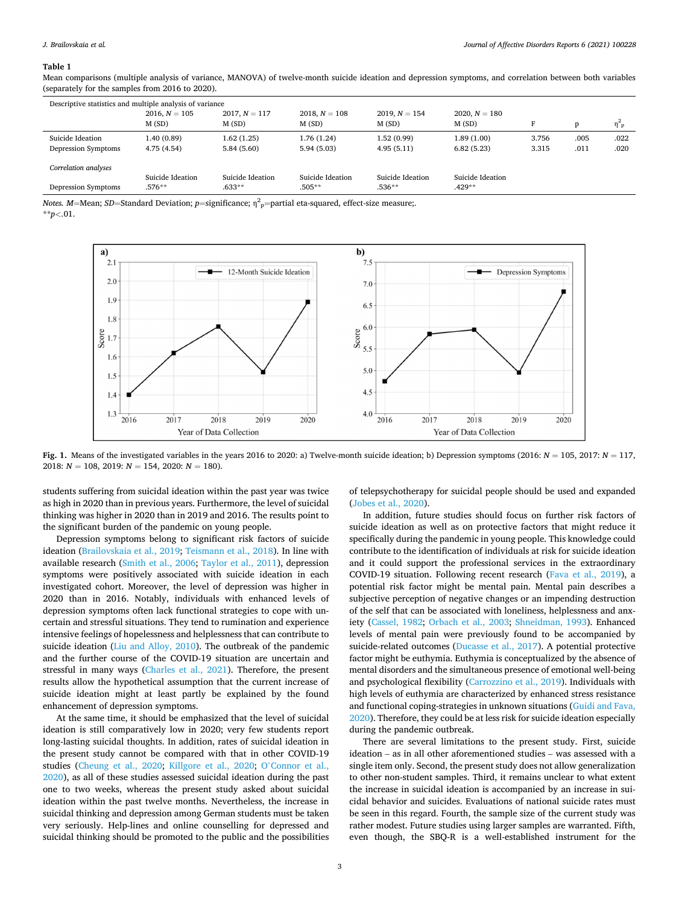## <span id="page-2-0"></span>**Table 1**

Mean comparisons (multiple analysis of variance, MANOVA) of twelve-month suicide ideation and depression symptoms, and correlation between both variables (separately for the samples from 2016 to 2020).

| Descriptive statistics and multiple analysis of variance |                            |                            |                           |                          |                          |                |              |                     |  |  |
|----------------------------------------------------------|----------------------------|----------------------------|---------------------------|--------------------------|--------------------------|----------------|--------------|---------------------|--|--|
|                                                          | $2016, N = 105$<br>M(SD)   | $2017, N = 117$<br>M (SD)  | $2018, N = 108$<br>M(SD)  | $2019, N = 154$<br>M(SD) | $2020, N = 180$<br>M(SD) |                | D            | $\eta_{\text{D}}^2$ |  |  |
| Suicide Ideation<br>Depression Symptoms                  | 1.40 (0.89)<br>4.75 (4.54) | 1.62 (1.25)<br>5.84 (5.60) | 1.76 (1.24)<br>5.94(5.03) | 1.52(0.99)<br>4.95(5.11) | 1.89(1.00)<br>6.82(5.23) | 3.756<br>3.315 | .005<br>.011 | .022<br>.020        |  |  |
| Correlation analyses                                     | Suicide Ideation           | Suicide Ideation           | Suicide Ideation          | Suicide Ideation         | Suicide Ideation         |                |              |                     |  |  |
| Depression Symptoms                                      | $.576**$                   | $.633**$                   | $.505**$                  | $.536**$                 | $.429**$                 |                |              |                     |  |  |

*Notes. M=Mean; SD=Standard Deviation; p=significance;* η<sup>2</sup><sub>p</sub>=partial eta-squared, effect-size measure;. \*\**p<*.01.

> b) a)  $\overline{2}$ .  $7.5$ 12-Month Suicide Ideation Depression Symptoms  $2.0$  $7.0$  $1<sup>°</sup>$ 6.5  $1.8$  $\begin{array}{c}\n & 6.0 \\
> & 5.5\n\end{array}$ Score  $1.7$  $1.6$ 5.0  $1.3$  $4.5$  $1.4$  $1.3$  $4.0$  $2016$ 2017 2018 2019 2020 2016  $2017$ 2018 2019 2020 Year of Data Collection Year of Data Collection

**Fig. 1.** Means of the investigated variables in the years 2016 to 2020: a) Twelve-month suicide ideation; b) Depression symptoms (2016: *N* = 105, 2017: *N* = 117, 2018: *N* = 108, 2019: *N* = 154, 2020: *N* = 180).

students suffering from suicidal ideation within the past year was twice as high in 2020 than in previous years. Furthermore, the level of suicidal thinking was higher in 2020 than in 2019 and 2016. The results point to the significant burden of the pandemic on young people.

Depression symptoms belong to significant risk factors of suicide ideation ([Brailovskaia et al., 2019](#page-3-0); [Teismann et al., 2018\)](#page-3-0). In line with available research [\(Smith et al., 2006;](#page-3-0) [Taylor et al., 2011](#page-3-0)), depression symptoms were positively associated with suicide ideation in each investigated cohort. Moreover, the level of depression was higher in 2020 than in 2016. Notably, individuals with enhanced levels of depression symptoms often lack functional strategies to cope with uncertain and stressful situations. They tend to rumination and experience intensive feelings of hopelessness and helplessness that can contribute to suicide ideation ([Liu and Alloy, 2010\)](#page-3-0). The outbreak of the pandemic and the further course of the COVID-19 situation are uncertain and stressful in many ways ([Charles et al., 2021\)](#page-3-0). Therefore, the present results allow the hypothetical assumption that the current increase of suicide ideation might at least partly be explained by the found enhancement of depression symptoms.

At the same time, it should be emphasized that the level of suicidal ideation is still comparatively low in 2020; very few students report long-lasting suicidal thoughts. In addition, rates of suicidal ideation in the present study cannot be compared with that in other COVID-19 studies ([Cheung et al., 2020](#page-3-0); [Killgore et al., 2020](#page-3-0); O'[Connor et al.,](#page-3-0)  [2020\)](#page-3-0), as all of these studies assessed suicidal ideation during the past one to two weeks, whereas the present study asked about suicidal ideation within the past twelve months. Nevertheless, the increase in suicidal thinking and depression among German students must be taken very seriously. Help-lines and online counselling for depressed and suicidal thinking should be promoted to the public and the possibilities of telepsychotherapy for suicidal people should be used and expanded ([Jobes et al., 2020\)](#page-3-0).

In addition, future studies should focus on further risk factors of suicide ideation as well as on protective factors that might reduce it specifically during the pandemic in young people. This knowledge could contribute to the identification of individuals at risk for suicide ideation and it could support the professional services in the extraordinary COVID-19 situation. Following recent research [\(Fava et al., 2019\)](#page-3-0), a potential risk factor might be mental pain. Mental pain describes a subjective perception of negative changes or an impending destruction of the self that can be associated with loneliness, helplessness and anxiety ([Cassel, 1982;](#page-3-0) [Orbach et al., 2003;](#page-3-0) [Shneidman, 1993\)](#page-3-0). Enhanced levels of mental pain were previously found to be accompanied by suicide-related outcomes [\(Ducasse et al., 2017\)](#page-3-0). A potential protective factor might be euthymia. Euthymia is conceptualized by the absence of mental disorders and the simultaneous presence of emotional well-being and psychological flexibility ([Carrozzino et al., 2019](#page-3-0)). Individuals with high levels of euthymia are characterized by enhanced stress resistance and functional coping-strategies in unknown situations ([Guidi and Fava,](#page-3-0)  [2020\)](#page-3-0). Therefore, they could be at less risk for suicide ideation especially during the pandemic outbreak.

There are several limitations to the present study. First, suicide ideation – as in all other aforementioned studies – was assessed with a single item only. Second, the present study does not allow generalization to other non-student samples. Third, it remains unclear to what extent the increase in suicidal ideation is accompanied by an increase in suicidal behavior and suicides. Evaluations of national suicide rates must be seen in this regard. Fourth, the sample size of the current study was rather modest. Future studies using larger samples are warranted. Fifth, even though, the SBQ-R is a well-established instrument for the